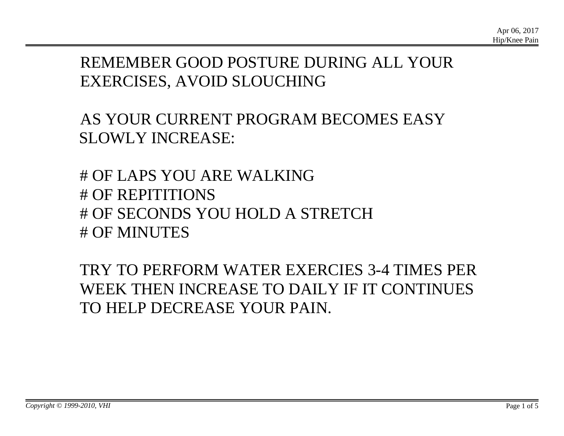## REMEMBER GOOD POSTURE DURING ALL YOUR EXERCISES, AVOID SLOUCHING

AS YOUR CURRENT PROGRAM BECOMES EASY SLOWLY INCREASE:

# OF LAPS YOU ARE WALKING # OF REPITITIONS # OF SECONDS YOU HOLD A STRETCH # OF MINUTES

TRY TO PERFORM WATER EXERCIES 3-4 TIMES PER WEEK THEN INCREASE TO DAILY IF IT CONTINUES TO HELP DECREASE YOUR PAIN.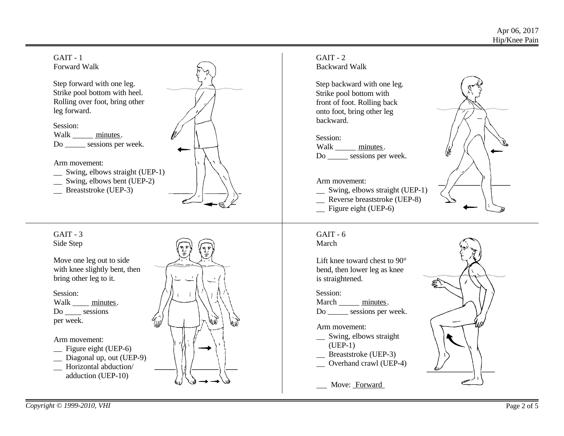



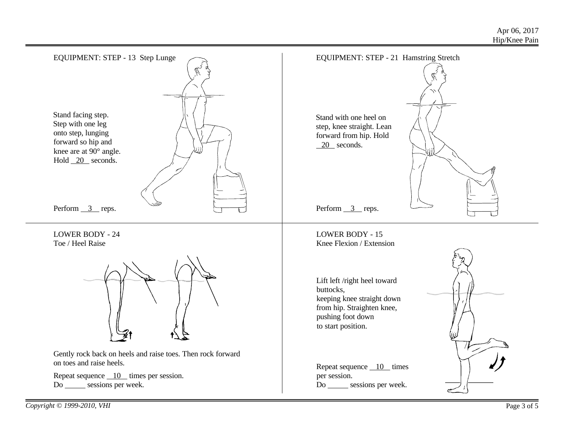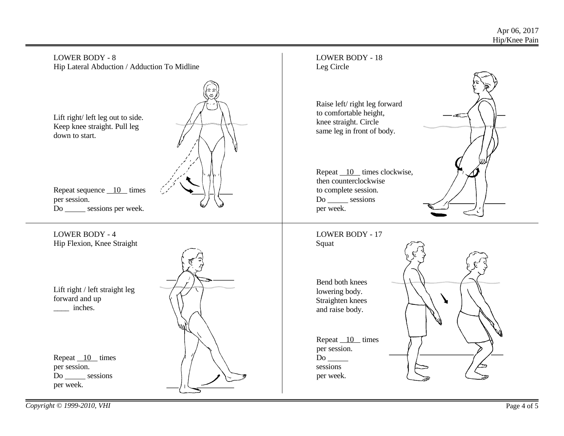